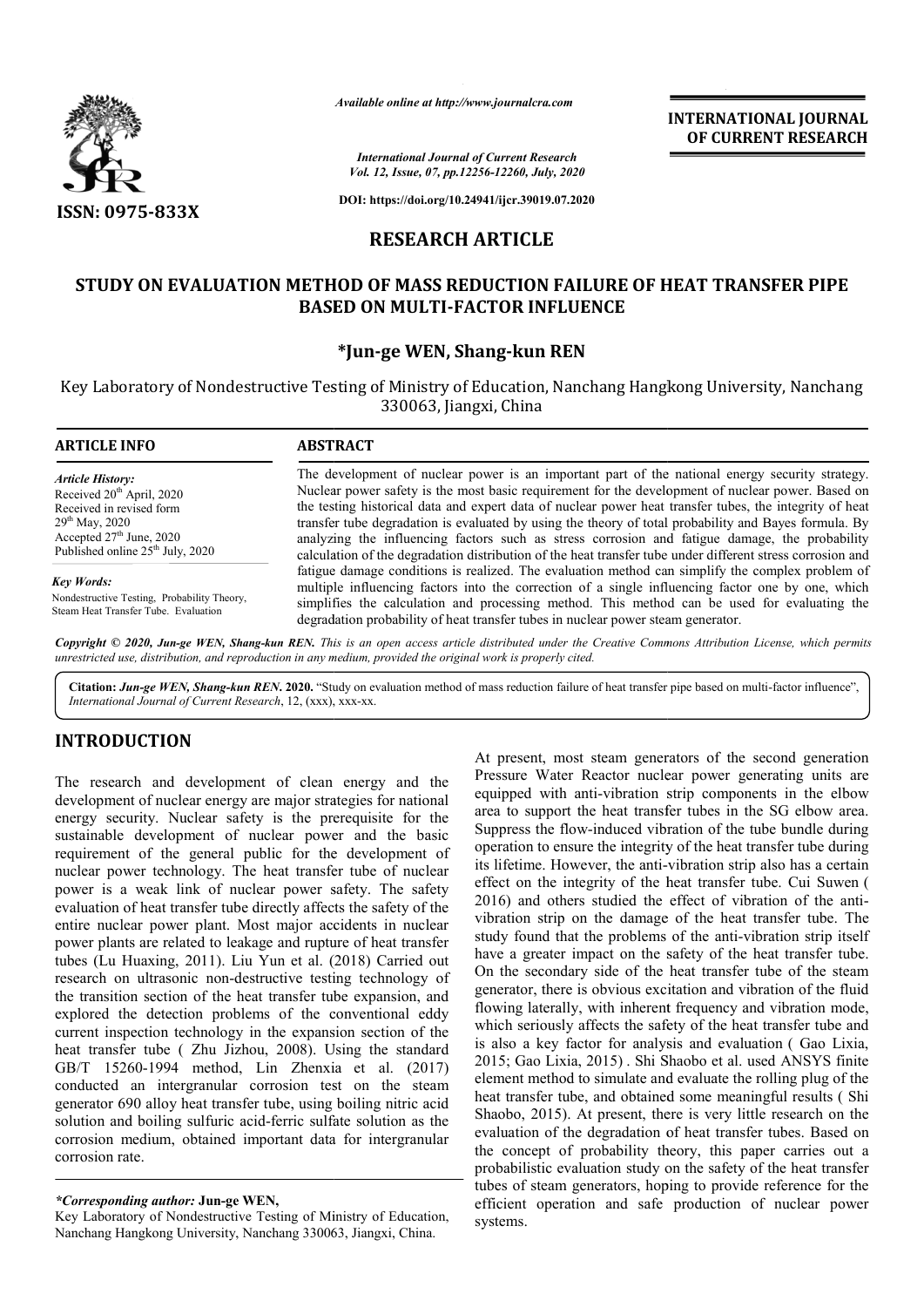

*Available online at http://www.journalcra.com*

*International Journal of Current Research*

**INTERNATIONAL JOURNAL OF CURRENT RESEARCH**

*Vol. 12, Issue, 07, pp.12256-12260, July, 2020*

**DOI: https://doi.org/10.24941/ijcr.39019.07.2020**

## **RESEARCH ARTICLE**

# **STUDY ON EVALUATION METHOD OF MASS REDUCTION FAILURE OF HEAT TRANSFER PIPE OF MASS BASED ON MULTI MULTI-FACTOR INFLUENCE**

### **\*Jun-ge WEN, Shang-kun REN**

Key Laboratory of Nondestructive Testing of Ministry of Education, Nanchang Hangkong University, Nanchang 330063, Jiangxi, China

| <b>ARTICLE INFO</b>                                                                                                                                                                  | <b>ABSTRACT</b>                                                                                                                                                                                                                                                                                                                                                                                                                                                                                                                                                                                                                          |  |  |  |
|--------------------------------------------------------------------------------------------------------------------------------------------------------------------------------------|------------------------------------------------------------------------------------------------------------------------------------------------------------------------------------------------------------------------------------------------------------------------------------------------------------------------------------------------------------------------------------------------------------------------------------------------------------------------------------------------------------------------------------------------------------------------------------------------------------------------------------------|--|--|--|
| <b>Article History:</b><br>Received $20th$ April, 2020<br>Received in revised form<br>$29th$ May, 2020<br>Accepted $27th$ June, 2020<br>Published online 25 <sup>th</sup> July, 2020 | The development of nuclear power is an important part of the national energy security strategy.<br>Nuclear power safety is the most basic requirement for the development of nuclear power. Based on<br>the testing historical data and expert data of nuclear power heat transfer tubes, the integrity of heat<br>transfer tube degradation is evaluated by using the theory of total probability and Bayes formula. By<br>analyzing the influencing factors such as stress corrosion and fatigue damage, the probability<br>calculation of the degradation distribution of the heat transfer tube under different stress corrosion and |  |  |  |
| Key Words:<br>Nondestructive Testing, Probability Theory,<br>Steam Heat Transfer Tube. Evaluation                                                                                    | fatigue damage conditions is realized. The evaluation method can simplify the complex problem of<br>multiple influencing factors into the correction of a single influencing factor one by one, which<br>simplifies the calculation and processing method. This method can be used for evaluating the<br>degradation probability of heat transfer tubes in nuclear power steam generator.                                                                                                                                                                                                                                                |  |  |  |
|                                                                                                                                                                                      | Conveight © 2020, Jun as WEN, Shang kun DEN. This is an open access article distributed under the Creative Commons Attribution License which permits                                                                                                                                                                                                                                                                                                                                                                                                                                                                                     |  |  |  |

*Copyright © 2020, Jun-ge WEN, Shang-kun REN. This unrestricted use, distribution, and reproduction in any medium, provided the original work is properly cited. is an open access article distributed under the Creative Commons Commons Attribution License, which permits*

Citation: Jun-ge WEN, Shang-kun REN. 2020. "Study on evaluation method of mass reduction failure of heat transfer pipe based on multi-factor influence", *International Journal of Current Research*, 12, (xxx), xxx-xx.

### **INTRODUCTION**

The research and development of clean energy and the development of nuclear energy are major strategies for national energy security. Nuclear safety is the prerequisite for the sustainable development of nuclear power and the basic requirement of the general public for the development of nuclear power technology. The heat transfer tube of nuclear power is a weak link of nuclear power safety. The safety evaluation of heat transfer tube directly affects the safety of the entire nuclear power plant. Most major accidents in nuclear power plants are related to leakage and rupture of heat transfer requirement of the general public for the development of nuclear power technology. The heat transfer tube of nuclear power is a weak link of nuclear power safety. The safety evaluation of heat transfer tube directly affect research on ultrasonic non-destructive testing technology of the transition section of the heat transfer tube expansion, and explored the detection problems of the conventional eddy current inspection technology in the expansion section of the heat transfer tube ( Zhu Jizhou, 2008). Using the standard research on ultrasonic non-destructive testing technology of<br>the transition section of the heat transfer tube expansion, and<br>explored the detection problems of the conventional eddy<br>current inspection technology in the exp conducted an intergranular corrosion test on the steam generator 690 alloy heat transfer tube, using boiling nitric acid solution and boiling sulfuric acid-ferric sulfate solution as the corrosion medium, obtained important data for intergranular corrosion rate. ferric sulfate solution as t<br>ortant data for intergranul<br>N,<br>sting of Ministry of Education<br>hang 330063, Jiangxi, China.

Key Laboratory of Nondestructive Testing of Ministry of Education, Nanchang Hangkong University, Nanchang 330063, Jiangxi, China

At present, most steam generators of the second generation Pressure Water Reactor nuclear power generating units are equipped with anti-vibration strip components in the elbow area to support the heat transfer tubes in the SG elbow area. Suppress the flow-induced vibration of the tube bundle during At present, most steam generators of the second generation<br>Pressure Water Reactor nuclear power generating units are<br>equipped with anti-vibration strip components in the elbow<br>area to support the heat transfer tubes in the its lifetime. However, the anti-vibration strip also has a certain effect on the integrity of the heat transfer tube. Cui Suwen ( 2016) and others studied the effect of vibration of the antivibration strip on the damage of the heat transfer tube. The study found that the problems of the anti-vibration strip itself have a greater impact on the safety of the heat transfer tube. On the secondary side of the heat transfer tube of the steam generator, there is obvious excitation an flowing laterally, with inherent frequency and vibration mode, which seriously affects the safety of the heat transfer tube and flowing laterally, with inherent frequency and vibration mode, which seriously affects the safety of the heat transfer tube and is also a key factor for analysis and evaluation (Gao Lixia, 2015; Gao Lixia, 2015). Shi Shaobo et al. used ANSYS finite element method to simulate and evaluate the rolling plug of the element method to simulate and evaluate the rolling plug of the<br>heat transfer tube, and obtained some meaningful results (Shi Shaobo, 2015). At present, there is very little research on the evaluation of the degradation of heat transfer tubes. Based on the concept of probability theory, this paper carries out a probabilistic evaluation study on the safety of the heat transfer tubes of steam generators, hoping to provide reference for the efficient operation and safe production of nuclear power systems. a greater impact on the safety of the heat transfer tube.<br>he secondary side of the heat transfer tube of the steam<br>ator, there is obvious excitation and vibration of the fluid the concept of probability theory, this paper carries out a probabilistic evaluation study on the safety of the heat transfer tubes of steam generators, hoping to provide reference for the efficient operation and safe prod

*<sup>\*</sup>Corresponding author:* **Jun-ge WEN,**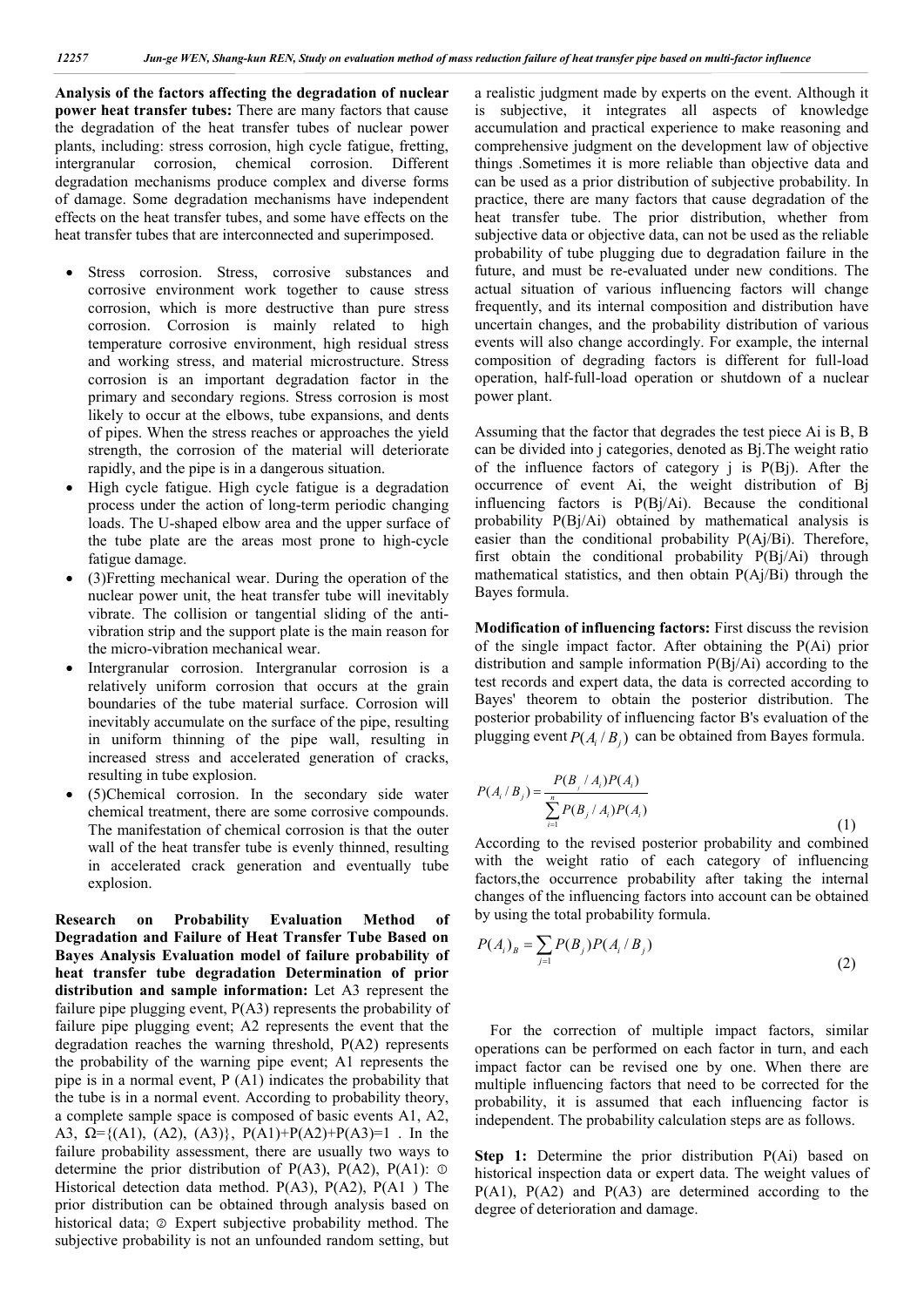**Analysis of the factors affecting the degradation of nuclear power heat transfer tubes:** There are many factors that cause the degradation of the heat transfer tubes of nuclear power plants, including: stress corrosion, high cycle fatigue, fretting, intergranular corrosion, chemical corrosion. Different degradation mechanisms produce complex and diverse forms of damage. Some degradation mechanisms have independent effects on the heat transfer tubes, and some have effects on the heat transfer tubes that are interconnected and superimposed.

- Stress corrosion. Stress, corrosive substances and corrosive environment work together to cause stress corrosion, which is more destructive than pure stress corrosion. Corrosion is mainly related to high temperature corrosive environment, high residual stress and working stress, and material microstructure. Stress corrosion is an important degradation factor in the primary and secondary regions. Stress corrosion is most likely to occur at the elbows, tube expansions, and dents of pipes. When the stress reaches or approaches the yield strength, the corrosion of the material will deteriorate rapidly, and the pipe is in a dangerous situation.
- High cycle fatigue. High cycle fatigue is a degradation process under the action of long-term periodic changing loads. The U-shaped elbow area and the upper surface of the tube plate are the areas most prone to high-cycle fatigue damage.
- (3)Fretting mechanical wear. During the operation of the nuclear power unit, the heat transfer tube will inevitably vibrate. The collision or tangential sliding of the antivibration strip and the support plate is the main reason for the micro-vibration mechanical wear.
- Intergranular corrosion. Intergranular corrosion is a relatively uniform corrosion that occurs at the grain boundaries of the tube material surface. Corrosion will inevitably accumulate on the surface of the pipe, resulting in uniform thinning of the pipe wall, resulting in increased stress and accelerated generation of cracks, resulting in tube explosion.
- (5)Chemical corrosion. In the secondary side water chemical treatment, there are some corrosive compounds. The manifestation of chemical corrosion is that the outer wall of the heat transfer tube is evenly thinned, resulting in accelerated crack generation and eventually tube explosion.

**Research on Probability Evaluation Method of Degradation and Failure of Heat Transfer Tube Based on Bayes Analysis Evaluation model of failure probability of heat transfer tube degradation Determination of prior distribution and sample information:** Let A3 represent the failure pipe plugging event, P(A3) represents the probability of failure pipe plugging event; A2 represents the event that the degradation reaches the warning threshold, P(A2) represents the probability of the warning pipe event; A1 represents the pipe is in a normal event, P (A1) indicates the probability that the tube is in a normal event. According to probability theory, a complete sample space is composed of basic events A1, A2, A3,  $\Omega = \{(A1), (A2), (A3)\}, P(A1)+P(A2)+P(A3)=1$ . In the failure probability assessment, there are usually two ways to determine the prior distribution of  $P(A3)$ ,  $P(A2)$ ,  $P(A1)$ :  $\odot$ Historical detection data method. P(A3), P(A2), P(A1 ) The prior distribution can be obtained through analysis based on historical data;  $\circledcirc$  Expert subjective probability method. The subjective probability is not an unfounded random setting, but a realistic judgment made by experts on the event. Although it is subjective, it integrates all aspects of knowledge accumulation and practical experience to make reasoning and comprehensive judgment on the development law of objective things .Sometimes it is more reliable than objective data and can be used as a prior distribution of subjective probability. In practice, there are many factors that cause degradation of the heat transfer tube. The prior distribution, whether from subjective data or objective data, can not be used as the reliable probability of tube plugging due to degradation failure in the future, and must be re-evaluated under new conditions. The actual situation of various influencing factors will change frequently, and its internal composition and distribution have uncertain changes, and the probability distribution of various events will also change accordingly. For example, the internal composition of degrading factors is different for full-load operation, half-full-load operation or shutdown of a nuclear power plant.

Assuming that the factor that degrades the test piece Ai is B, B can be divided into j categories, denoted as Bj.The weight ratio of the influence factors of category  $\mathbf{j}$  is P(Bj). After the occurrence of event Ai, the weight distribution of Bj influencing factors is P(Bj/Ai). Because the conditional probability P(Bj/Ai) obtained by mathematical analysis is easier than the conditional probability P(Aj/Bi). Therefore, first obtain the conditional probability P(Bj/Ai) through mathematical statistics, and then obtain P(Aj/Bi) through the Bayes formula.

**Modification of influencing factors:** First discuss the revision of the single impact factor. After obtaining the P(Ai) prior distribution and sample information P(Bj/Ai) according to the test records and expert data, the data is corrected according to Bayes' theorem to obtain the posterior distribution. The posterior probability of influencing factor B's evaluation of the plugging event  $P(A / B_i)$  can be obtained from Bayes formula.

$$
P(A_i/B_j) = \frac{P(B_j/A_i)P(A_i)}{\sum_{i=1}^{n} P(B_j/A_i)P(A_i)}
$$
(1)

According to the revised posterior probability and combined with the weight ratio of each category of influencing factors,the occurrence probability after taking the internal changes of the influencing factors into account can be obtained by using the total probability formula.

$$
P(A_i)_B = \sum_{j=1} P(B_j) P(A_i / B_j)
$$
 (2)

For the correction of multiple impact factors, similar operations can be performed on each factor in turn, and each impact factor can be revised one by one. When there are multiple influencing factors that need to be corrected for the probability, it is assumed that each influencing factor is independent. The probability calculation steps are as follows.

**Step 1:** Determine the prior distribution P(Ai) based on historical inspection data or expert data. The weight values of  $P(A1)$ ,  $P(A2)$  and  $P(A3)$  are determined according to the degree of deterioration and damage.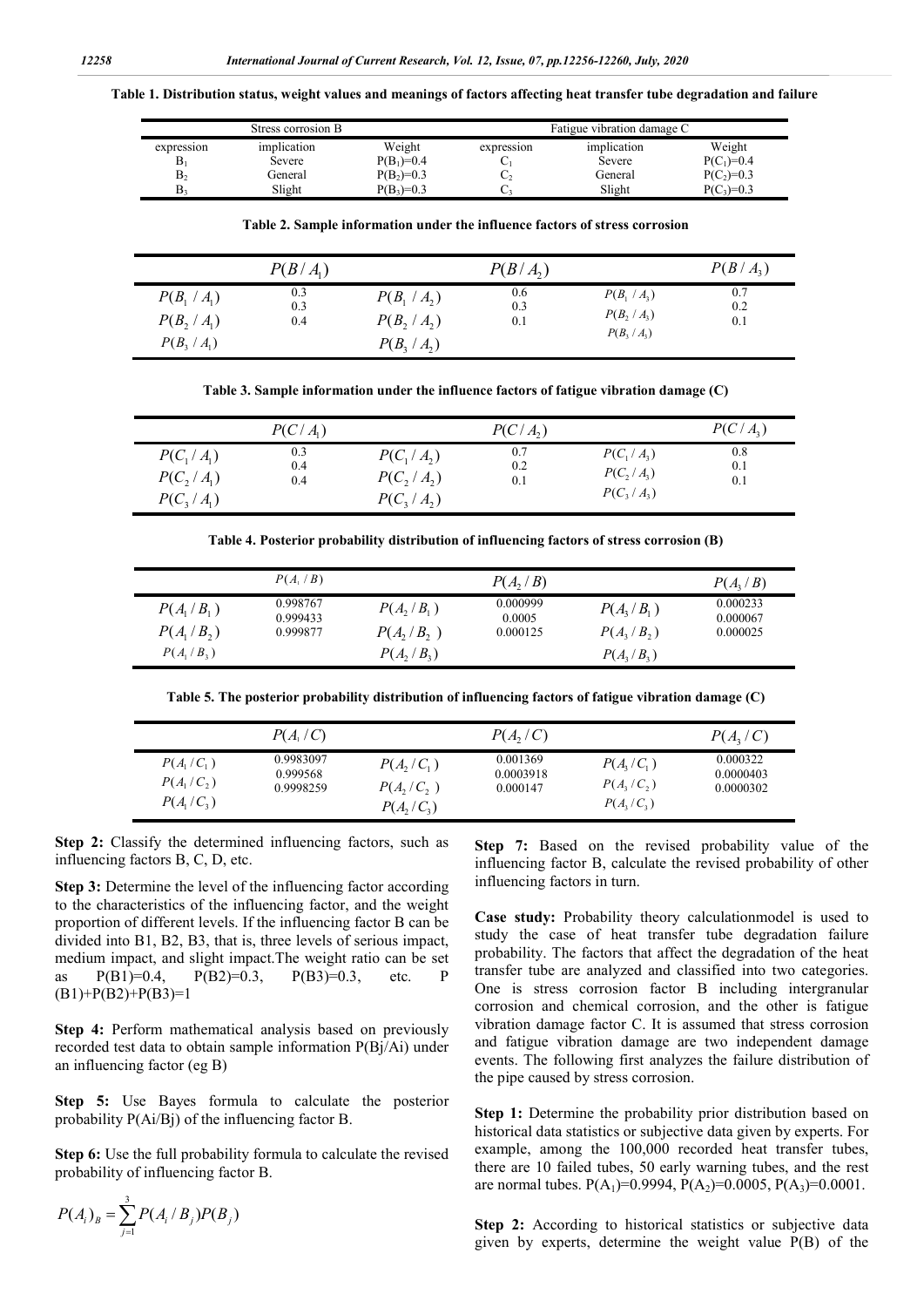**Table 1. Distribution status, weight values and meanings of factors affecting heat transfer tube degradation and failure**

| Stress corrosion B |             |              | Fatigue vibration damage C |             |              |  |
|--------------------|-------------|--------------|----------------------------|-------------|--------------|--|
| expression         | implication | Weight       | expression                 | implication | Weight       |  |
| $B_1$              | Severe      | $P(B_1)=0.4$ | ັ                          | Severe      | $P(C_1)=0.4$ |  |
| B <sub>2</sub>     | General     | $P(B_2)=0.3$ | ◡                          | General     | $P(C_2)=0.3$ |  |
| В,                 | Slight      | $P(B_3)=0.3$ | U.                         | Slight      | $P(C_3)=0.3$ |  |

**Table 2. Sample information under the influence factors of stress corrosion**

|                | $P(B/A_1)$ |                | P(B/A) |                | $P(B/A_3)$ |
|----------------|------------|----------------|--------|----------------|------------|
| $P(B_1 / A_1)$ | 0.3        | $P(B_1 / A_2)$ | 0.6    | $P(B_1 / A_2)$ | 0.7        |
| $P(B_2 / A_1)$ | 0.3        | $P(B_2/A_2)$   | 0.3    | $P(B_2 / A_3)$ | 0.2        |
| $P(B_3 / A_1)$ | 0.4        | $P(B_3/A_2)$   | 0.1    | $P(B_3 / A_3)$ | 0.1        |

**Table 3. Sample information under the influence factors of fatigue vibration damage (C)**

|              | $P(C/A_1)$ |              | P(C/A) |              | $P(C/A_3)$ |
|--------------|------------|--------------|--------|--------------|------------|
| $P(C_1/A_1)$ | 0.3        | $P(C_1/A_2)$ | 0.7    | $P(C_1/A_3)$ | 0.8        |
| $P(C_2/A_1)$ | 0.4        | P(C, / A)    | 0.2    | $P(C_2/A_3)$ | 0.1        |
| $P(C_3/A_1)$ | 0.4        | $P(C_3/A_2)$ | 0.1    | $P(C_3/A_3)$ | 0.1        |

**Table 4. Posterior probability distribution of influencing factors of stress corrosion (B)**

|              | $P(A_1/B)$           |              | $P(A, \langle B \rangle)$ |              | P(A, / B)            |
|--------------|----------------------|--------------|---------------------------|--------------|----------------------|
| $P(A_1/B_1)$ | 0.998767<br>0.999433 | $P(A_2/B_1)$ | 0.000999<br>0.0005        | $P(A_3/B_1)$ | 0.000233<br>0.000067 |
| $P(A_1/B_2)$ | 0.999877             | P(A, /B, )   | 0.000125                  | $P(A_2/B_2)$ | 0.000025             |
| $P(A_1/B_3)$ |                      | P(A, / B)    |                           | $P(A_2/B_2)$ |                      |
|              |                      |              |                           |              |                      |

**Table 5. The posterior probability distribution of influencing factors of fatigue vibration damage (C)**

|              | $P(A_1/C)$ |              | P(A, /C)  |              | $P(A,\n\angle C)$ |
|--------------|------------|--------------|-----------|--------------|-------------------|
| $P(A_1/C_1)$ | 0.9983097  | $P(A, /C_1)$ | 0.001369  | $P(A_2/C_1)$ | 0.000322          |
| $P(A_1/C_2)$ | 0.999568   | P(A, /C, )   | 0.0003918 | P(A, /C, )   | 0.0000403         |
| $P(A_1/C_2)$ | 0.9998259  | $P(A, /C_3)$ | 0.000147  | $P(A_1/C_3)$ | 0.0000302         |

**Step 2:** Classify the determined influencing factors, such as influencing factors B, C, D, etc.

**Step 3:** Determine the level of the influencing factor according to the characteristics of the influencing factor, and the weight proportion of different levels. If the influencing factor B can be divided into B1, B2, B3, that is, three levels of serious impact, medium impact, and slight impact.The weight ratio can be set as P(B1)=0.4, P(B2)=0.3, P(B3)=0.3, etc. P  $(B1)+P(B2)+P(B3)=1$ 

**Step 4:** Perform mathematical analysis based on previously recorded test data to obtain sample information P(Bj/Ai) under an influencing factor (eg B)

**Step 5:** Use Bayes formula to calculate the posterior probability P(Ai/Bj) of the influencing factor B.

**Step 6:** Use the full probability formula to calculate the revised probability of influencing factor B.

**Step 7:** Based on the revised probability value of the influencing factor B, calculate the revised probability of other influencing factors in turn.

**Case study:** Probability theory calculationmodel is used to study the case of heat transfer tube degradation failure probability. The factors that affect the degradation of the heat transfer tube are analyzed and classified into two categories. One is stress corrosion factor B including intergranular corrosion and chemical corrosion, and the other is fatigue vibration damage factor C. It is assumed that stress corrosion and fatigue vibration damage are two independent damage events. The following first analyzes the failure distribution of the pipe caused by stress corrosion.

**Step 1:** Determine the probability prior distribution based on historical data statistics or subjective data given by experts. For example, among the 100,000 recorded heat transfer tubes, there are 10 failed tubes, 50 early warning tubes, and the rest are normal tubes.  $P(A_1)=0.9994$ ,  $P(A_2)=0.0005$ ,  $P(A_3)=0.0001$ .

**Step 2:** According to historical statistics or subjective data given by experts, determine the weight value P(B) of the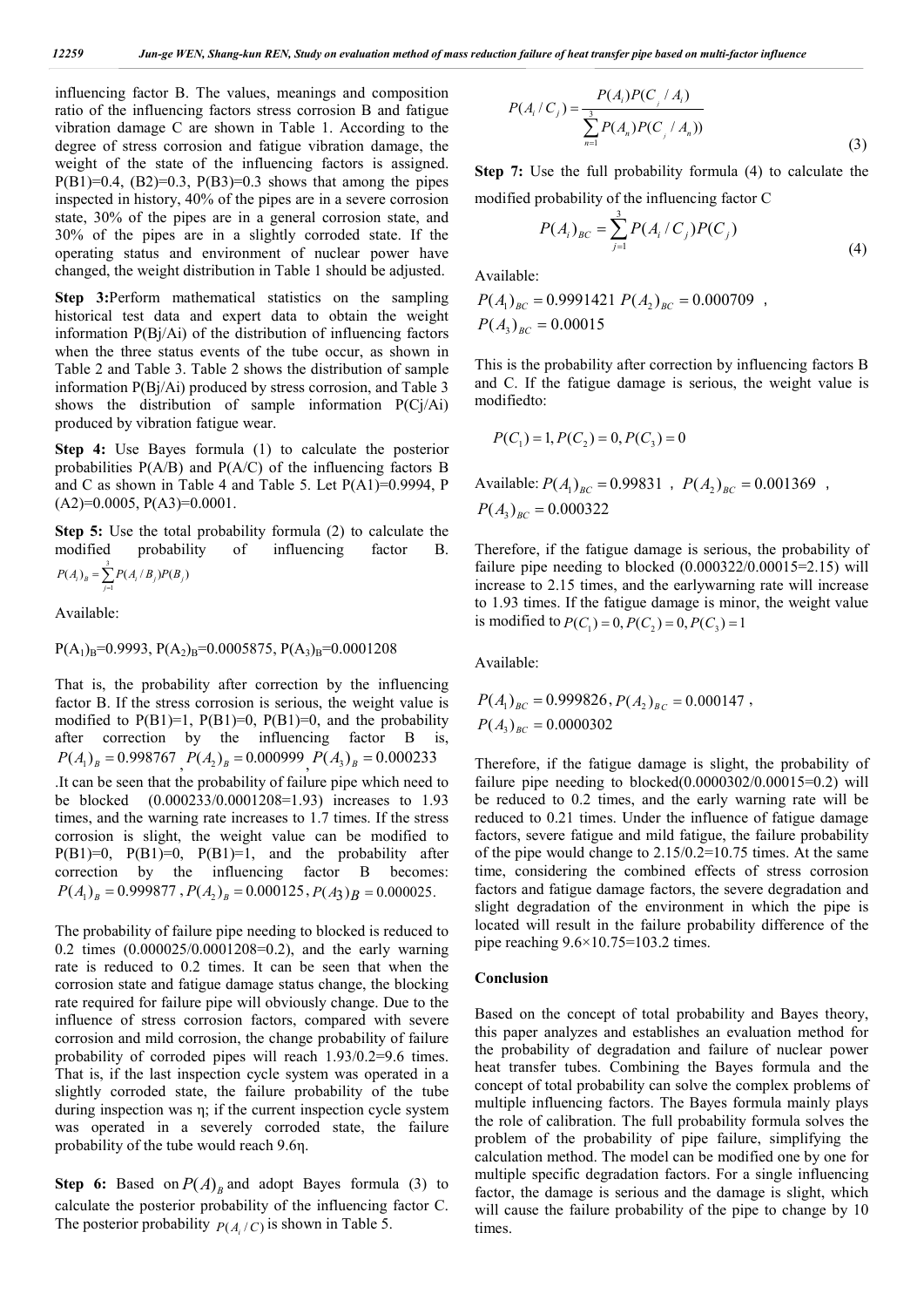influencing factor B. The values, meanings and composition ratio of the influencing factors stress corrosion B and fatigue vibration damage C are shown in Table 1. According to the degree of stress corrosion and fatigue vibration damage, the weight of the state of the influencing factors is assigned.  $P(B1)=0.4$ ,  $(B2)=0.3$ ,  $P(B3)=0.3$  shows that among the pipes inspected in history, 40% of the pipes are in a severe corrosion state, 30% of the pipes are in a general corrosion state, and 30% of the pipes are in a slightly corroded state. If the operating status and environment of nuclear power have changed, the weight distribution in Table 1 should be adjusted.

**Step 3:**Perform mathematical statistics on the sampling historical test data and expert data to obtain the weight information P(Bj/Ai) of the distribution of influencing factors when the three status events of the tube occur, as shown in Table 2 and Table 3. Table 2 shows the distribution of sample information P(Bj/Ai) produced by stress corrosion, and Table 3 shows the distribution of sample information  $P(C<sub>i</sub>/A<sub>i</sub>)$ produced by vibration fatigue wear.

**Step 4:** Use Bayes formula (1) to calculate the posterior probabilities  $P(A/B)$  and  $P(A/C)$  of the influencing factors B and C as shown in Table 4 and Table 5. Let  $P(A1)=0.9994$ , P  $(A2)=0.0005$ ,  $P(A3)=0.0001$ .

**Step 5:** Use the total probability formula (2) to calculate the modified probability of influencing factor B.  $(A_i)_B = \sum_{i=1}^{3} P(A_i/B_i) P(B_i)$  $P(A_i)_B = \sum_{j=1} P(A_i \mid B_j) P(B_j)$ 

Available:

 $P(A_1)_B=0.9993, P(A_2)_B=0.0005875, P(A_3)_B=0.0001208$ 

That is, the probability after correction by the influencing factor B. If the stress corrosion is serious, the weight value is modified to  $P(B1)=1$ ,  $P(B1)=0$ ,  $P(B1)=0$ , and the probability after correction by the influencing factor B is,  $P(A_1)_B = 0.998767$  ,  $P(A_2)_B = 0.000999$  ,  $P(A_3)_B = 0.000233$ .It can be seen that the probability of failure pipe which need to be blocked (0.000233/0.0001208=1.93) increases to 1.93 times, and the warning rate increases to 1.7 times. If the stress corrosion is slight, the weight value can be modified to P(B1)=0, P(B1)=0, P(B1)=1, and the probability after correction by the influencing factor B becomes:  $P(A_1)_B = 0.999877$ ,  $P(A_2)_B = 0.000125$ ,  $P(A_3)_B = 0.000025$ .

The probability of failure pipe needing to blocked is reduced to 0.2 times (0.000025/0.0001208=0.2), and the early warning rate is reduced to 0.2 times. It can be seen that when the corrosion state and fatigue damage status change, the blocking rate required for failure pipe will obviously change. Due to the influence of stress corrosion factors, compared with severe corrosion and mild corrosion, the change probability of failure probability of corroded pipes will reach 1.93/0.2=9.6 times. That is, if the last inspection cycle system was operated in a slightly corroded state, the failure probability of the tube during inspection was η; if the current inspection cycle system was operated in a severely corroded state, the failure probability of the tube would reach 9.6η.

**Step 6:** Based on  $P(A)_B$  and adopt Bayes formula (3) to calculate the posterior probability of the influencing factor C. The posterior probability  $P(A_i/C)$  is shown in Table 5.

$$
P(A_i/C_j) = \frac{P(A_i)P(C_j/A_i)}{\sum_{n=1}^{3} P(A_n)P(C_j/A_n))}
$$
\n(3)

**Step 7:** Use the full probability formula (4) to calculate the modified probability of the influencing factor C

$$
P(A_i)_{BC} = \sum_{j=1}^{3} P(A_i/C_j)P(C_j)
$$
\n(4)

Available:

 $P(A_1)_{BC} = 0.9991421 P(A_2)_{BC} = 0.000709$ ,  $P(A_3)_{BC} = 0.00015$ 

This is the probability after correction by influencing factors B and C. If the fatigue damage is serious, the weight value is modifiedto:

$$
P(C_1) = 1, P(C_2) = 0, P(C_3) = 0
$$

Available:  $P(A_1)_{BC} = 0.99831$ ,  $P(A_2)_{BC} = 0.001369$ ,  $P(A_3)_{BC} = 0.000322$ 

Therefore, if the fatigue damage is serious, the probability of failure pipe needing to blocked  $(0.000322/0.00015=2.15)$  will increase to 2.15 times, and the earlywarning rate will increase to 1.93 times. If the fatigue damage is minor, the weight value is modified to  $P(C_1) = 0, P(C_2) = 0, P(C_2) = 1$ 

Available:

$$
P(A_1)_{BC} = 0.999826, P(A_2)_{BC} = 0.000147,
$$
  

$$
P(A_3)_{BC} = 0.0000302
$$

Therefore, if the fatigue damage is slight, the probability of failure pipe needing to blocked $(0.0000302/0.00015=0.2)$  will be reduced to 0.2 times, and the early warning rate will be reduced to 0.21 times. Under the influence of fatigue damage factors, severe fatigue and mild fatigue, the failure probability of the pipe would change to 2.15/0.2=10.75 times. At the same time, considering the combined effects of stress corrosion factors and fatigue damage factors, the severe degradation and slight degradation of the environment in which the pipe is located will result in the failure probability difference of the pipe reaching  $9.6 \times 10.75 = 103.2$  times.

#### **Conclusion**

Based on the concept of total probability and Bayes theory, this paper analyzes and establishes an evaluation method for the probability of degradation and failure of nuclear power heat transfer tubes. Combining the Bayes formula and the concept of total probability can solve the complex problems of multiple influencing factors. The Bayes formula mainly plays the role of calibration. The full probability formula solves the problem of the probability of pipe failure, simplifying the calculation method. The model can be modified one by one for multiple specific degradation factors. For a single influencing factor, the damage is serious and the damage is slight, which will cause the failure probability of the pipe to change by 10 times.